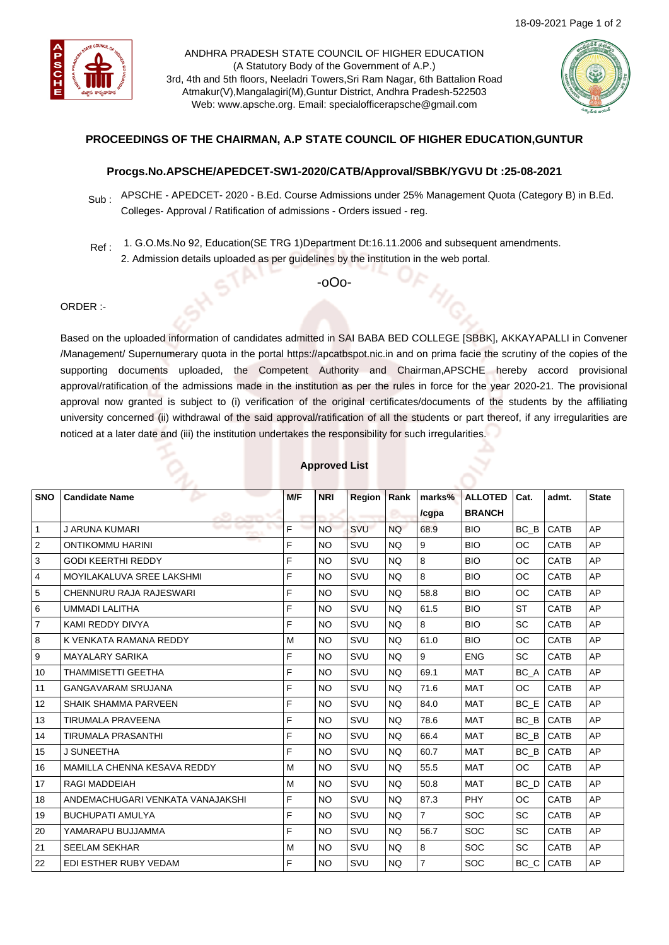

ANDHRA PRADESH STATE COUNCIL OF HIGHER EDUCATION (A Statutory Body of the Government of A.P.) 3rd, 4th and 5th floors, Neeladri Towers,Sri Ram Nagar, 6th Battalion Road Atmakur(V),Mangalagiri(M),Guntur District, Andhra Pradesh-522503 Web: www.apsche.org. Email: specialofficerapsche@gmail.com



# **PROCEEDINGS OF THE CHAIRMAN, A.P STATE COUNCIL OF HIGHER EDUCATION,GUNTUR**

### **Procgs.No.APSCHE/APEDCET-SW1-2020/CATB/Approval/SBBK/YGVU Dt :25-08-2021**

- Sub : APSCHE APEDCET- 2020 B.Ed. Course Admissions under 25% Management Quota (Category B) in B.Ed. Colleges- Approval / Ratification of admissions - Orders issued - reg.
- Ref : 1. G.O.Ms.No 92, Education(SE TRG 1)Department Dt:16.11.2006 and subsequent amendments.
	- 2. Admission details uploaded as per guidelines by the institution in the web portal.

-oOo-

### ORDER :-

Based on the uploaded information of candidates admitted in SAI BABA BED COLLEGE [SBBK], AKKAYAPALLI in Convener /Management/ Supernumerary quota in the portal https://apcatbspot.nic.in and on prima facie the scrutiny of the copies of the supporting documents uploaded, the Competent Authority and Chairman,APSCHE hereby accord provisional approval/ratification of the admissions made in the institution as per the rules in force for the year 2020-21. The provisional approval now granted is subject to (i) verification of the original certificates/documents of the students by the affiliating university concerned (ii) withdrawal of the said approval/ratification of all the students or part thereof, if any irregularities are noticed at a later date and (iii) the institution undertakes the responsibility for such irregularities.

| <b>SNO</b>     | <b>Candidate Name</b>            | M/F | <b>NRI</b> | <b>Region</b> | Rank      | marks%         | <b>ALLOTED</b> | Cat.      | admt.       | <b>State</b> |
|----------------|----------------------------------|-----|------------|---------------|-----------|----------------|----------------|-----------|-------------|--------------|
|                |                                  |     |            |               |           | /cgpa          | <b>BRANCH</b>  |           |             |              |
| $\mathbf{1}$   | J ARUNA KUMARI                   | F   | <b>NO</b>  | SVU           | <b>NQ</b> | 68.9           | <b>BIO</b>     | BC B      | <b>CATB</b> | AP           |
| $\overline{2}$ | <b>ONTIKOMMU HARINI</b>          | F   | <b>NO</b>  | SVU           | <b>NQ</b> | 9              | <b>BIO</b>     | <b>OC</b> | <b>CATB</b> | AP           |
| 3              | <b>GODI KEERTHI REDDY</b>        | F   | <b>NO</b>  | SVU           | <b>NO</b> | 8              | <b>BIO</b>     | OC        | CATB        | AP           |
| 4              | MOYILAKALUVA SREE LAKSHMI        | F   | <b>NO</b>  | SVU           | <b>NQ</b> | 8              | <b>BIO</b>     | <b>OC</b> | CATB        | AP           |
| 5              | CHENNURU RAJA RAJESWARI          | F   | <b>NO</b>  | SVU           | NQ.       | 58.8           | <b>BIO</b>     | ОC        | <b>CATB</b> | AP           |
| 6              | <b>UMMADI LALITHA</b>            | F   | <b>NO</b>  | SVU           | <b>NQ</b> | 61.5           | <b>BIO</b>     | <b>ST</b> | <b>CATB</b> | AP           |
| 7              | KAMI REDDY DIVYA                 | F   | <b>NO</b>  | SVU           | <b>NQ</b> | 8              | <b>BIO</b>     | <b>SC</b> | <b>CATB</b> | AP           |
| 8              | K VENKATA RAMANA REDDY           | M   | <b>NO</b>  | SVU           | <b>NO</b> | 61.0           | <b>BIO</b>     | <b>OC</b> | CATB        | AP           |
| 9              | <b>MAYALARY SARIKA</b>           | F   | <b>NO</b>  | SVU           | <b>NQ</b> | 9              | <b>ENG</b>     | <b>SC</b> | <b>CATB</b> | AP           |
| 10             | <b>THAMMISETTI GEETHA</b>        | F   | <b>NO</b>  | SVU           | <b>NQ</b> | 69.1           | <b>MAT</b>     | BC A      | <b>CATB</b> | AP           |
| 11             | <b>GANGAVARAM SRUJANA</b>        | F   | <b>NO</b>  | SVU           | <b>NQ</b> | 71.6           | <b>MAT</b>     | <b>OC</b> | <b>CATB</b> | AP           |
| 12             | <b>SHAIK SHAMMA PARVEEN</b>      | F   | <b>NO</b>  | SVU           | NQ.       | 84.0           | <b>MAT</b>     | BC E      | <b>CATB</b> | AP           |
| 13             | <b>TIRUMALA PRAVEENA</b>         | F   | <b>NO</b>  | SVU           | <b>NQ</b> | 78.6           | <b>MAT</b>     | BC B      | <b>CATB</b> | AP           |
| 14             | <b>TIRUMALA PRASANTHI</b>        | F   | <b>NO</b>  | SVU           | NQ.       | 66.4           | <b>MAT</b>     | $BC$ $B$  | <b>CATB</b> | AP           |
| 15             | J SUNEETHA                       | F   | <b>NO</b>  | SVU           | NQ.       | 60.7           | <b>MAT</b>     | BC B      | <b>CATB</b> | AP           |
| 16             | MAMILLA CHENNA KESAVA REDDY      | M   | <b>NO</b>  | SVU           | <b>NQ</b> | 55.5           | <b>MAT</b>     | OC.       | CATB        | AP           |
| 17             | <b>RAGI MADDEIAH</b>             | M   | <b>NO</b>  | SVU           | NQ.       | 50.8           | <b>MAT</b>     | BC D      | <b>CATB</b> | AP           |
| 18             | ANDEMACHUGARI VENKATA VANAJAKSHI | F   | <b>NO</b>  | SVU           | <b>NQ</b> | 87.3           | PHY            | <b>OC</b> | <b>CATB</b> | AP           |
| 19             | <b>BUCHUPATI AMULYA</b>          | F   | <b>NO</b>  | SVU           | NQ.       | $\overline{7}$ | <b>SOC</b>     | <b>SC</b> | CATB        | AP           |
| 20             | YAMARAPU BUJJAMMA                | F   | <b>NO</b>  | SVU           | NQ.       | 56.7           | <b>SOC</b>     | <b>SC</b> | <b>CATB</b> | AP           |
| 21             | <b>SEELAM SEKHAR</b>             | M   | <b>NO</b>  | SVU           | NQ.       | 8              | <b>SOC</b>     | SC        | <b>CATB</b> | AP           |
| 22             | EDI ESTHER RUBY VEDAM            | F   | <b>NO</b>  | SVU           | <b>NQ</b> | $\overline{7}$ | <b>SOC</b>     | $BC\_C$   | <b>CATB</b> | AP           |

### **Approved List**